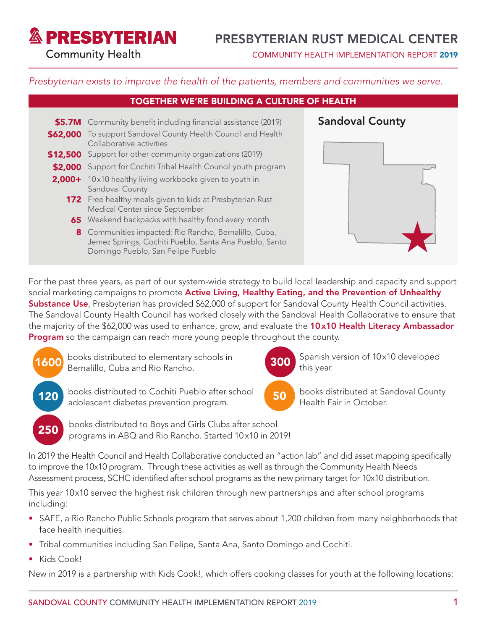**& PRESBYTERIAN** 

# PRESBYTERIAN RUST MEDICAL CENTER

**Community Health** 

COMMUNITY HEALTH IMPLEMENTATION REPORT 2019

### *Presbyterian exists to improve the health of the patients, members and communities we serve.*

## TOGETHER WE'RE BUILDING A CULTURE OF HEALTH

- \$5.7M Community benefit including financial assistance (2019) **Sandoval County \$62,000** To support Sandoval County Health Council and Health Collaborative activities \$12,500 Support for other community organizations (2019) \$2,000 Support for Cochiti Tribal Health Council youth program 2,000+ 10x10 healthy living workbooks given to youth in Sandoval County **172** Free healthy meals given to kids at Presbyterian Rust Medical Center since September **65** Weekend backpacks with healthy food every month 8 Communities impacted: Rio Rancho, Bernalillo, Cuba,
	- Jemez Springs, Cochiti Pueblo, Santa Ana Pueblo, Santo Domingo Pueblo, San Felipe Pueblo



books distributed at Sandoval County

Health Fair in October.

this year.

300 Spanish version of 10x10 developed

For the past three years, as part of our system-wide strategy to build local leadership and capacity and support social marketing campaigns to promote Active Living, Healthy Eating, and the Prevention of Unhealthy Substance Use, Presbyterian has provided \$62,000 of support for Sandoval County Health Council activities. The Sandoval County Health Council has worked closely with the Sandoval Health Collaborative to ensure that the majority of the \$62,000 was used to enhance, grow, and evaluate the 10x10 Health Literacy Ambassador Program so the campaign can reach more young people throughout the county.

1600

250

books distributed to elementary schools in Bernalillo, Cuba and Rio Rancho.

- 120 books distributed to Cochiti Pueblo after school (50 adolescent diabetes prevention program.
	- books distributed to Boys and Girls Clubs after school programs in ABQ and Rio Rancho. Started 10 x10 in 2019!

In 2019 the Health Council and Health Collaborative conducted an "action lab" and did asset mapping specifically to improve the 10x10 program. Through these activities as well as through the Community Health Needs Assessment process, SCHC identified after school programs as the new primary target for 10x10 distribution.

This year 10x10 served the highest risk children through new partnerships and after school programs including:

- SAFE, a Rio Rancho Public Schools program that serves about 1,200 children from many neighborhoods that face health inequities.
- Tribal communities including San Felipe, Santa Ana, Santo Domingo and Cochiti.
- Kids Cook!

New in 2019 is a partnership with Kids Cook!, which offers cooking classes for youth at the following locations: